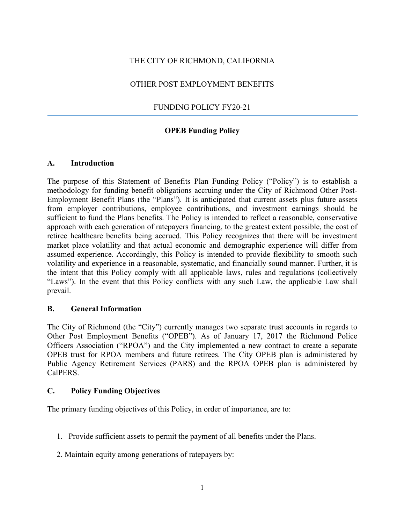## THE CITY OF RICHMOND, CALIFORNIA

## OTHER POST EMPLOYMENT BENEFITS

## FUNDING POLICY FY20-21

## **OPEB Funding Policy**

#### **A. Introduction**

The purpose of this Statement of Benefits Plan Funding Policy ("Policy") is to establish a methodology for funding benefit obligations accruing under the City of Richmond Other Post-Employment Benefit Plans (the "Plans"). It is anticipated that current assets plus future assets from employer contributions, employee contributions, and investment earnings should be sufficient to fund the Plans benefits. The Policy is intended to reflect a reasonable, conservative approach with each generation of ratepayers financing, to the greatest extent possible, the cost of retiree healthcare benefits being accrued. This Policy recognizes that there will be investment market place volatility and that actual economic and demographic experience will differ from assumed experience. Accordingly, this Policy is intended to provide flexibility to smooth such volatility and experience in a reasonable, systematic, and financially sound manner. Further, it is the intent that this Policy comply with all applicable laws, rules and regulations (collectively "Laws"). In the event that this Policy conflicts with any such Law, the applicable Law shall prevail.

## **B. General Information**

The City of Richmond (the "City") currently manages two separate trust accounts in regards to Other Post Employment Benefits ("OPEB"). As of January 17, 2017 the Richmond Police Officers Association ("RPOA") and the City implemented a new contract to create a separate OPEB trust for RPOA members and future retirees. The City OPEB plan is administered by Public Agency Retirement Services (PARS) and the RPOA OPEB plan is administered by CalPERS.

#### **C. Policy Funding Objectives**

The primary funding objectives of this Policy, in order of importance, are to:

- 1. Provide sufficient assets to permit the payment of all benefits under the Plans.
- 2. Maintain equity among generations of ratepayers by: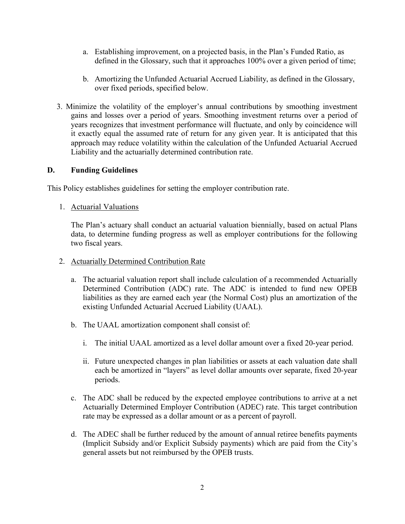- a. Establishing improvement, on a projected basis, in the Plan's Funded Ratio, as defined in the Glossary, such that it approaches 100% over a given period of time;
- b. Amortizing the Unfunded Actuarial Accrued Liability, as defined in the Glossary, over fixed periods, specified below.
- 3. Minimize the volatility of the employer's annual contributions by smoothing investment gains and losses over a period of years. Smoothing investment returns over a period of years recognizes that investment performance will fluctuate, and only by coincidence will it exactly equal the assumed rate of return for any given year. It is anticipated that this approach may reduce volatility within the calculation of the Unfunded Actuarial Accrued Liability and the actuarially determined contribution rate.

#### **D. Funding Guidelines**

This Policy establishes guidelines for setting the employer contribution rate.

1. Actuarial Valuations

The Plan's actuary shall conduct an actuarial valuation biennially, based on actual Plans data, to determine funding progress as well as employer contributions for the following two fiscal years.

- 2. Actuarially Determined Contribution Rate
	- a. The actuarial valuation report shall include calculation of a recommended Actuarially Determined Contribution (ADC) rate. The ADC is intended to fund new OPEB liabilities as they are earned each year (the Normal Cost) plus an amortization of the existing Unfunded Actuarial Accrued Liability (UAAL).
	- b. The UAAL amortization component shall consist of:
		- i. The initial UAAL amortized as a level dollar amount over a fixed 20-year period.
		- ii. Future unexpected changes in plan liabilities or assets at each valuation date shall each be amortized in "layers" as level dollar amounts over separate, fixed 20-year periods.
	- c. The ADC shall be reduced by the expected employee contributions to arrive at a net Actuarially Determined Employer Contribution (ADEC) rate. This target contribution rate may be expressed as a dollar amount or as a percent of payroll.
	- d. The ADEC shall be further reduced by the amount of annual retiree benefits payments (Implicit Subsidy and/or Explicit Subsidy payments) which are paid from the City's general assets but not reimbursed by the OPEB trusts.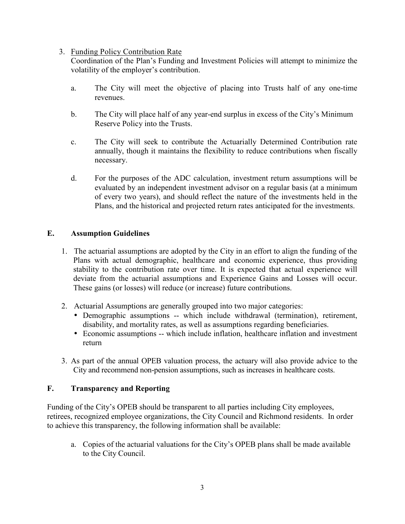## 3. Funding Policy Contribution Rate

Coordination of the Plan's Funding and Investment Policies will attempt to minimize the volatility of the employer's contribution.

- a. The City will meet the objective of placing into Trusts half of any one-time revenues.
- b. The City will place half of any year-end surplus in excess of the City's Minimum Reserve Policy into the Trusts.
- c. The City will seek to contribute the Actuarially Determined Contribution rate annually, though it maintains the flexibility to reduce contributions when fiscally necessary.
- d. For the purposes of the ADC calculation, investment return assumptions will be evaluated by an independent investment advisor on a regular basis (at a minimum of every two years), and should reflect the nature of the investments held in the Plans, and the historical and projected return rates anticipated for the investments.

## **E. Assumption Guidelines**

- 1. The actuarial assumptions are adopted by the City in an effort to align the funding of the Plans with actual demographic, healthcare and economic experience, thus providing stability to the contribution rate over time. It is expected that actual experience will deviate from the actuarial assumptions and Experience Gains and Losses will occur. These gains (or losses) will reduce (or increase) future contributions.
- 2. Actuarial Assumptions are generally grouped into two major categories:
	- Demographic assumptions -- which include withdrawal (termination), retirement, disability, and mortality rates, as well as assumptions regarding beneficiaries.
	- Economic assumptions -- which include inflation, healthcare inflation and investment return
- 3. As part of the annual OPEB valuation process, the actuary will also provide advice to the City and recommend non-pension assumptions, such as increases in healthcare costs.

## **F. Transparency and Reporting**

Funding of the City's OPEB should be transparent to all parties including City employees, retirees, recognized employee organizations, the City Council and Richmond residents. In order to achieve this transparency, the following information shall be available:

a. Copies of the actuarial valuations for the City's OPEB plans shall be made available to the City Council.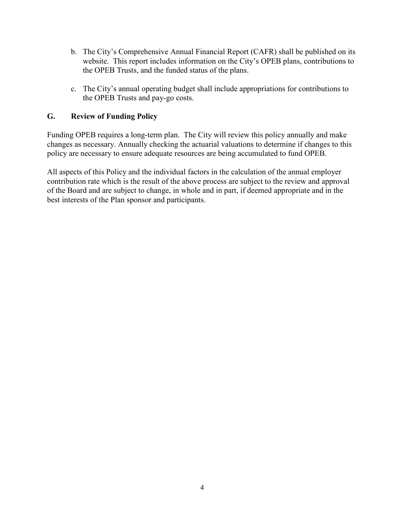- b. The City's Comprehensive Annual Financial Report (CAFR) shall be published on its website. This report includes information on the City's OPEB plans, contributions to the OPEB Trusts, and the funded status of the plans.
- c. The City's annual operating budget shall include appropriations for contributions to the OPEB Trusts and pay-go costs.

## **G. Review of Funding Policy**

Funding OPEB requires a long-term plan. The City will review this policy annually and make changes as necessary. Annually checking the actuarial valuations to determine if changes to this policy are necessary to ensure adequate resources are being accumulated to fund OPEB.

All aspects of this Policy and the individual factors in the calculation of the annual employer contribution rate which is the result of the above process are subject to the review and approval of the Board and are subject to change, in whole and in part, if deemed appropriate and in the best interests of the Plan sponsor and participants.